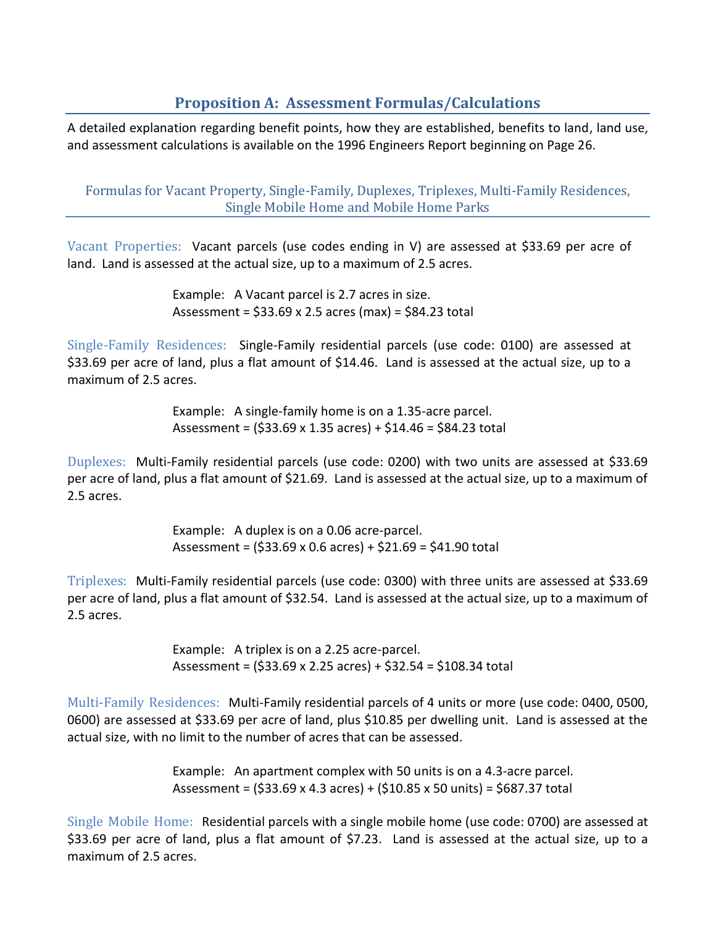# **Proposition A: Assessment Formulas/Calculations**

A detailed explanation regarding benefit points, how they are established, benefits to land, land use, and assessment calculations is available on the 1996 Engineers Report beginning on Page 26.

Formulas for Vacant Property, Single-Family, Duplexes, Triplexes, Multi-Family Residences, Single Mobile Home and Mobile Home Parks

Vacant Properties: Vacant parcels (use codes ending in V) are assessed at \$33.69 per acre of land. Land is assessed at the actual size, up to a maximum of 2.5 acres.

> Example: A Vacant parcel is 2.7 acres in size. Assessment = \$33.69 x 2.5 acres (max) = \$84.23 total

Single-Family Residences: Single-Family residential parcels (use code: 0100) are assessed at \$33.69 per acre of land, plus a flat amount of \$14.46. Land is assessed at the actual size, up to a maximum of 2.5 acres.

> Example: A single-family home is on a 1.35-acre parcel. Assessment = (\$33.69 x 1.35 acres) + \$14.46 = \$84.23 total

Duplexes: Multi-Family residential parcels (use code: 0200) with two units are assessed at \$33.69 per acre of land, plus a flat amount of \$21.69. Land is assessed at the actual size, up to a maximum of 2.5 acres.

> Example: A duplex is on a 0.06 acre-parcel. Assessment = (\$33.69 x 0.6 acres) + \$21.69 = \$41.90 total

Triplexes: Multi-Family residential parcels (use code: 0300) with three units are assessed at \$33.69 per acre of land, plus a flat amount of \$32.54. Land is assessed at the actual size, up to a maximum of 2.5 acres.

> Example: A triplex is on a 2.25 acre-parcel. Assessment = (\$33.69 x 2.25 acres) + \$32.54 = \$108.34 total

Multi-Family Residences: Multi-Family residential parcels of 4 units or more (use code: 0400, 0500, 0600) are assessed at \$33.69 per acre of land, plus \$10.85 per dwelling unit. Land is assessed at the actual size, with no limit to the number of acres that can be assessed.

> Example: An apartment complex with 50 units is on a 4.3-acre parcel. Assessment = (\$33.69 x 4.3 acres) + (\$10.85 x 50 units) = \$687.37 total

Single Mobile Home: Residential parcels with a single mobile home (use code: 0700) are assessed at \$33.69 per acre of land, plus a flat amount of \$7.23. Land is assessed at the actual size, up to a maximum of 2.5 acres.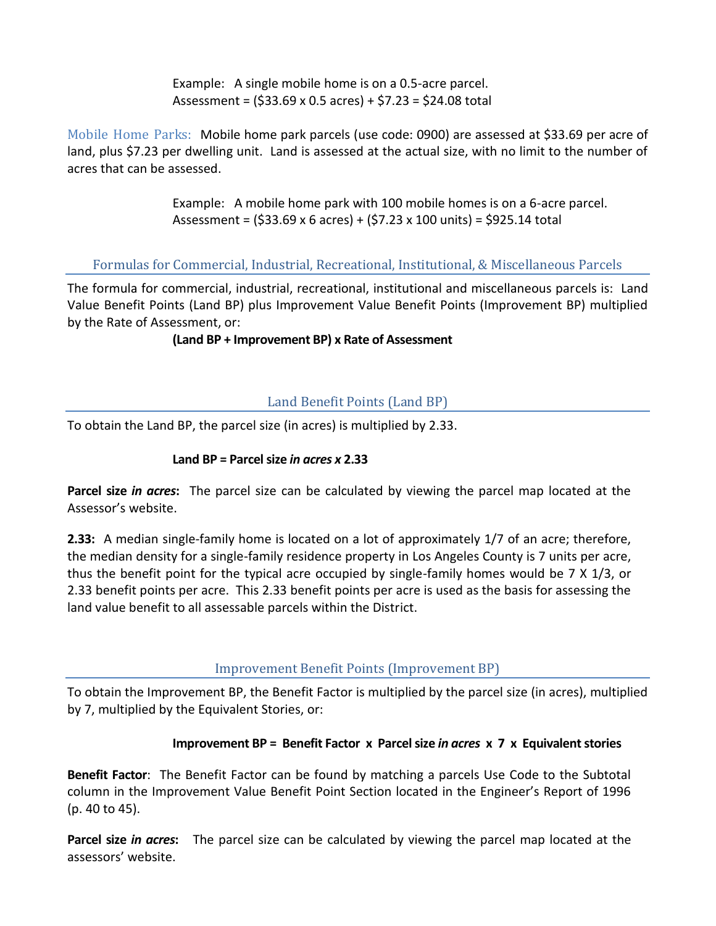Example: A single mobile home is on a 0.5-acre parcel. Assessment =  $(533.69 \times 0.5 \text{ acres}) + 57.23 = 524.08 \text{ total}$ 

Mobile Home Parks: Mobile home park parcels (use code: 0900) are assessed at \$33.69 per acre of land, plus \$7.23 per dwelling unit. Land is assessed at the actual size, with no limit to the number of acres that can be assessed.

> Example: A mobile home park with 100 mobile homes is on a 6-acre parcel. Assessment =  $(533.69 \times 6 \text{ acres}) + (57.23 \times 100 \text{ units}) = 5925.14 \text{ total}$

Formulas for Commercial, Industrial, Recreational, Institutional, & Miscellaneous Parcels

The formula for commercial, industrial, recreational, institutional and miscellaneous parcels is: Land Value Benefit Points (Land BP) plus Improvement Value Benefit Points (Improvement BP) multiplied by the Rate of Assessment, or:

#### **(Land BP + Improvement BP) x Rate of Assessment**

### Land Benefit Points (Land BP)

To obtain the Land BP, the parcel size (in acres) is multiplied by 2.33.

#### **Land BP = Parcel size** *in acres x* **2.33**

**Parcel size** *in acres***:** The parcel size can be calculated by viewing the parcel map located at the Assessor's website.

**2.33:** A median single-family home is located on a lot of approximately 1/7 of an acre; therefore, the median density for a single-family residence property in Los Angeles County is 7 units per acre, thus the benefit point for the typical acre occupied by single-family homes would be 7 X 1/3, or 2.33 benefit points per acre. This 2.33 benefit points per acre is used as the basis for assessing the land value benefit to all assessable parcels within the District.

### Improvement Benefit Points (Improvement BP)

To obtain the Improvement BP, the Benefit Factor is multiplied by the parcel size (in acres), multiplied by 7, multiplied by the Equivalent Stories, or:

### **Improvement BP = Benefit Factor x Parcel size** *in acres* **x 7 x Equivalent stories**

**Benefit Factor**: The Benefit Factor can be found by matching a parcels Use Code to the Subtotal column in the Improvement Value Benefit Point Section located in the Engineer's Report of 1996 (p. 40 to 45).

**Parcel size** *in acres***:** The parcel size can be calculated by viewing the parcel map located at the assessors' website.